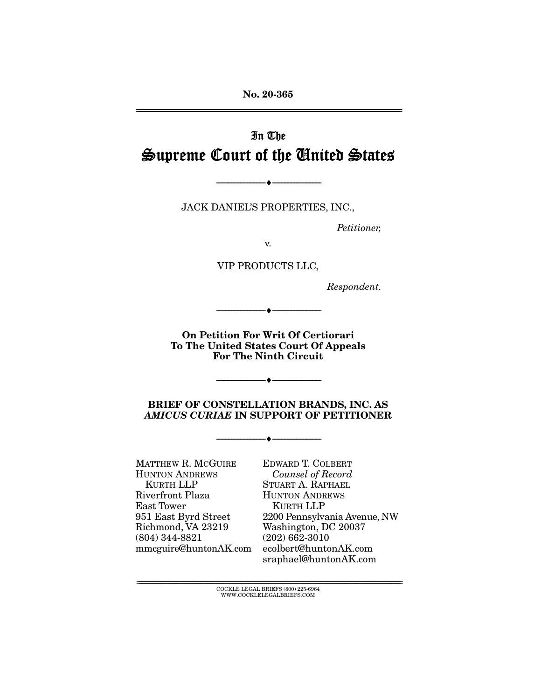**No. 20-365**  ================================================================================================================

# In The Supreme Court of the United States

JACK DANIEL'S PROPERTIES, INC.,

--------------------------------- ♦ ---------------------------------

Petitioner,

v.

VIP PRODUCTS LLC,

Respondent.

**On Petition For Writ Of Certiorari To The United States Court Of Appeals For The Ninth Circuit** 

--------------------------------- ♦ ---------------------------------

**BRIEF OF CONSTELLATION BRANDS, INC. AS**  *AMICUS CURIAE* **IN SUPPORT OF PETITIONER** 

--------------------------------- ♦ ---------------------------------

--------------------------------- ♦ ---------------------------------

MATTHEW R. MCGUIRE HUNTON ANDREWS KURTH LLP Riverfront Plaza East Tower 951 East Byrd Street Richmond, VA 23219 (804) 344-8821 [mmcguire@huntonAK.com](mailto:mmcguire@huntonAK.com)  EDWARD T. COLBERT Counsel of Record STUART A. RAPHAEL HUNTON ANDREWS KURTH LLP 2200 Pennsylvania Avenue, NW Washington, DC 20037 (202) 662-3010 [ecolbert@huntonAK.com](mailto:ecolbert@huntonAK.com)  [sraphael@huntonAK.com](mailto:sraphael@huntonAK.com) 

 ${COCKLE}$  LEGAL BRIEFS (800) 225-6964 WWW.COCKLELEGALBRIEFS.COM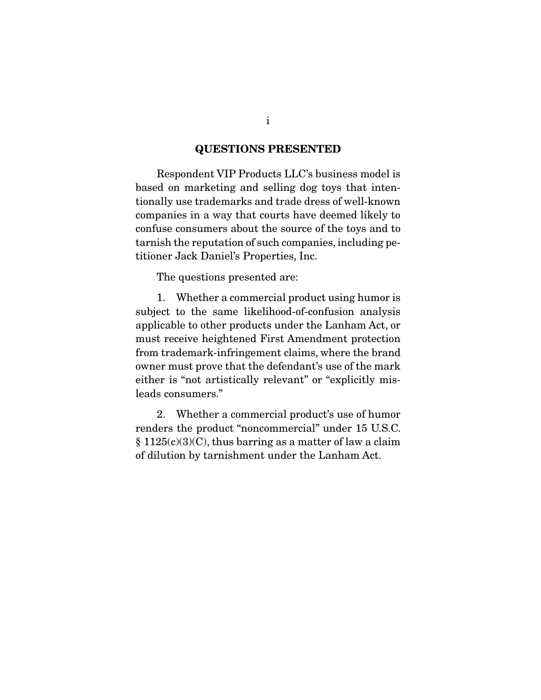## **QUESTIONS PRESENTED**

Respondent VIP Products LLC's business model is based on marketing and selling dog toys that intentionally use trademarks and trade dress of well-known companies in a way that courts have deemed likely to confuse consumers about the source of the toys and to tarnish the reputation of such companies, including petitioner Jack Daniel's Properties, Inc.

The questions presented are:

 1. Whether a commercial product using humor is subject to the same likelihood-of-confusion analysis applicable to other products under the Lanham Act, or must receive heightened First Amendment protection from trademark-infringement claims, where the brand owner must prove that the defendant's use of the mark either is "not artistically relevant" or "explicitly misleads consumers."

 2. Whether a commercial product's use of humor renders the product "noncommercial" under 15 U.S.C.  $§ 1125(c)(3)(C)$ , thus barring as a matter of law a claim of dilution by tarnishment under the Lanham Act.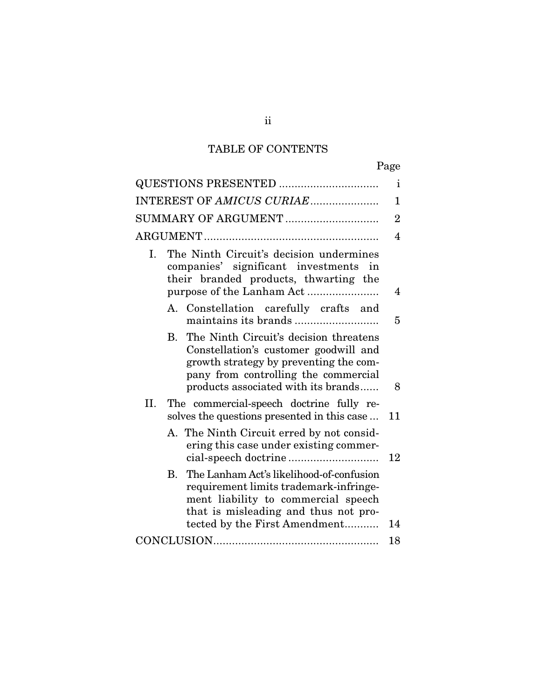## TABLE OF CONTENTS

| <b>QUESTIONS PRESENTED </b><br>$\mathbf{i}$ |                                                                                                                           |                                                                                                                                                                                                             |    |  |  |
|---------------------------------------------|---------------------------------------------------------------------------------------------------------------------------|-------------------------------------------------------------------------------------------------------------------------------------------------------------------------------------------------------------|----|--|--|
| INTEREST OF AMICUS CURIAE<br>1              |                                                                                                                           |                                                                                                                                                                                                             |    |  |  |
| SUMMARY OF ARGUMENT                         |                                                                                                                           |                                                                                                                                                                                                             |    |  |  |
|                                             |                                                                                                                           |                                                                                                                                                                                                             |    |  |  |
| Ι.                                          | The Ninth Circuit's decision undermines<br>companies' significant investments in<br>their branded products, thwarting the |                                                                                                                                                                                                             |    |  |  |
|                                             |                                                                                                                           |                                                                                                                                                                                                             | 4  |  |  |
|                                             |                                                                                                                           | A. Constellation carefully crafts and                                                                                                                                                                       | 5  |  |  |
|                                             |                                                                                                                           | B. The Ninth Circuit's decision threatens<br>Constellation's customer goodwill and<br>growth strategy by preventing the com-<br>pany from controlling the commercial<br>products associated with its brands | 8  |  |  |
|                                             | II. The commercial-speech doctrine fully re-<br>solves the questions presented in this case                               |                                                                                                                                                                                                             | 11 |  |  |
|                                             |                                                                                                                           | A. The Ninth Circuit erred by not consid-<br>ering this case under existing commer-                                                                                                                         | 12 |  |  |
|                                             | В.                                                                                                                        | The Lanham Act's likelihood-of-confusion<br>requirement limits trademark-infringe-<br>ment liability to commercial speech<br>that is misleading and thus not pro-                                           | 14 |  |  |
| tected by the First Amendment<br>18         |                                                                                                                           |                                                                                                                                                                                                             |    |  |  |
|                                             |                                                                                                                           |                                                                                                                                                                                                             |    |  |  |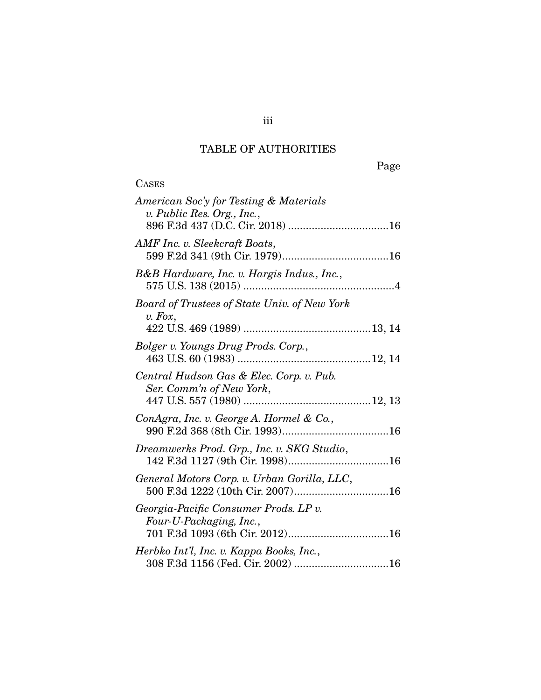## TABLE OF AUTHORITIES

**CASES** 

| American Soc'y for Testing & Materials<br>v. Public Res. Org., Inc., |
|----------------------------------------------------------------------|
| AMF Inc. v. Sleekcraft Boats,                                        |
| B&B Hardware, Inc. v. Hargis Indus., Inc.,                           |
| Board of Trustees of State Univ. of New York                         |
| $v.$ Fox,                                                            |
| Bolger v. Youngs Drug Prods. Corp.,                                  |
| Central Hudson Gas & Elec. Corp. v. Pub.<br>Ser. Comm'n of New York, |
| ConAgra, Inc. v. George A. Hormel & Co.,                             |
| Dreamwerks Prod. Grp., Inc. v. SKG Studio,                           |
| General Motors Corp. v. Urban Gorilla, LLC,                          |
| Georgia-Pacific Consumer Prods. LP v.<br>Four-U-Packaging, Inc.,     |
| Herbko Int'l, Inc. v. Kappa Books, Inc.,                             |

iii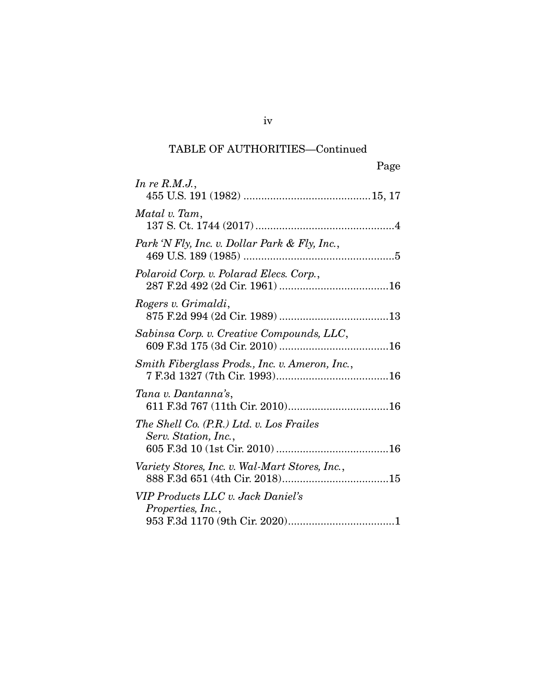## TABLE OF AUTHORITIES—Continued

| Page                                                             |  |
|------------------------------------------------------------------|--|
| In re $R.M.J.,$                                                  |  |
| Matal v. Tam,                                                    |  |
| Park 'N Fly, Inc. v. Dollar Park & Fly, Inc.,                    |  |
| Polaroid Corp. v. Polarad Elecs. Corp.,                          |  |
| Rogers v. Grimaldi,                                              |  |
| Sabinsa Corp. v. Creative Compounds, LLC,                        |  |
| Smith Fiberglass Prods., Inc. v. Ameron, Inc.,                   |  |
| Tana v. Dantanna's,                                              |  |
| The Shell Co. (P.R.) Ltd. v. Los Frailes<br>Serv. Station, Inc., |  |
| Variety Stores, Inc. v. Wal-Mart Stores, Inc.,                   |  |
| VIP Products LLC v. Jack Daniel's<br>Properties, Inc.,           |  |

iv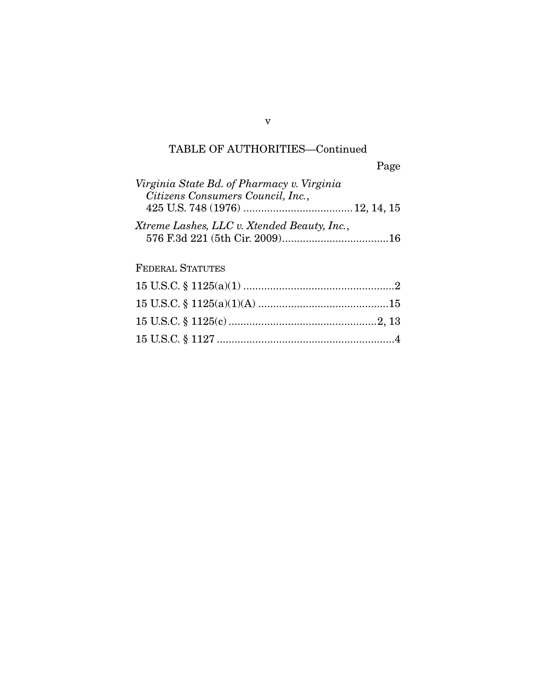# TABLE OF AUTHORITIES—Continued

| Virginia State Bd. of Pharmacy v. Virginia  |  |
|---------------------------------------------|--|
| Citizens Consumers Council, Inc.,           |  |
| Xtreme Lashes, LLC v. Xtended Beauty, Inc., |  |
|                                             |  |

## FEDERAL STATUTES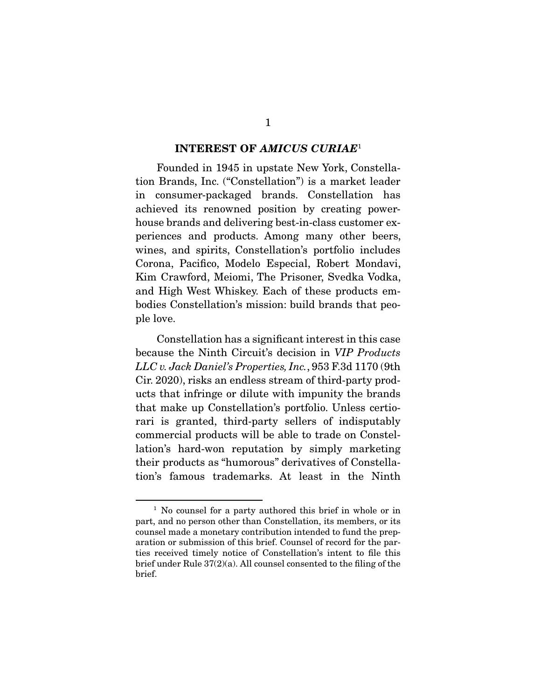#### **INTEREST OF** *AMICUS CURIAE*<sup>1</sup>

 Founded in 1945 in upstate New York, Constellation Brands, Inc. ("Constellation") is a market leader in consumer-packaged brands. Constellation has achieved its renowned position by creating powerhouse brands and delivering best-in-class customer experiences and products. Among many other beers, wines, and spirits, Constellation's portfolio includes Corona, Pacifco, Modelo Especial, Robert Mondavi, Kim Crawford, Meiomi, The Prisoner, Svedka Vodka, and High West Whiskey. Each of these products embodies Constellation's mission: build brands that people love.

 Constellation has a signifcant interest in this case because the Ninth Circuit's decision in VIP Products LLC v. Jack Daniel's Properties, Inc., 953 F.3d 1170 (9th Cir. 2020), risks an endless stream of third-party products that infringe or dilute with impunity the brands that make up Constellation's portfolio. Unless certiorari is granted, third-party sellers of indisputably commercial products will be able to trade on Constellation's hard-won reputation by simply marketing their products as "humorous" derivatives of Constellation's famous trademarks. At least in the Ninth

<sup>&</sup>lt;sup>1</sup> No counsel for a party authored this brief in whole or in part, and no person other than Constellation, its members, or its counsel made a monetary contribution intended to fund the preparation or submission of this brief. Counsel of record for the parties received timely notice of Constellation's intent to fle this brief under Rule 37(2)(a). All counsel consented to the fling of the brief.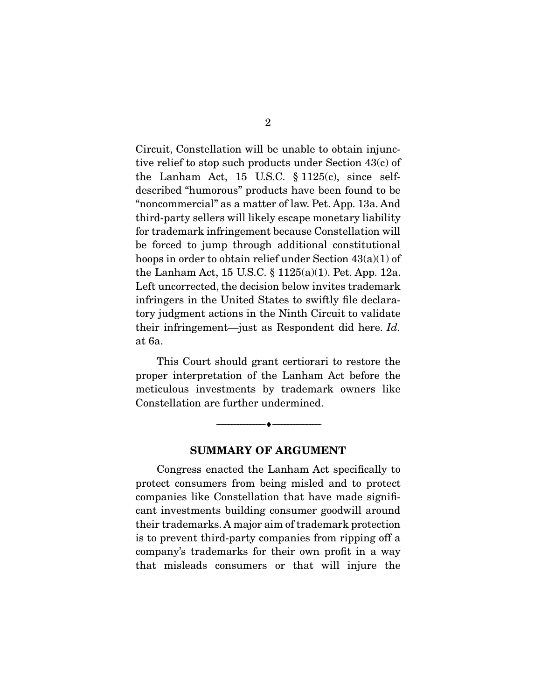Circuit, Constellation will be unable to obtain injunctive relief to stop such products under Section 43(c) of the Lanham Act, 15 U.S.C.  $\S 1125(c)$ , since selfdescribed "humorous" products have been found to be "noncommercial" as a matter of law. Pet. App. 13a. And third-party sellers will likely escape monetary liability for trademark infringement because Constellation will be forced to jump through additional constitutional hoops in order to obtain relief under Section 43(a)(1) of the Lanham Act, 15 U.S.C. § 1125(a)(1). Pet. App. 12a. Left uncorrected, the decision below invites trademark infringers in the United States to swiftly fle declaratory judgment actions in the Ninth Circuit to validate their infringement—just as Respondent did here. Id. at 6a.

 This Court should grant certiorari to restore the proper interpretation of the Lanham Act before the meticulous investments by trademark owners like Constellation are further undermined.

#### **SUMMARY OF ARGUMENT**

 $\overbrace{\hspace{2.5cm}}^{\bullet}$   $\overbrace{\hspace{2.5cm}}^{\bullet}$ 

 Congress enacted the Lanham Act specifcally to protect consumers from being misled and to protect companies like Constellation that have made signifcant investments building consumer goodwill around their trademarks. A major aim of trademark protection is to prevent third-party companies from ripping off a company's trademarks for their own proft in a way that misleads consumers or that will injure the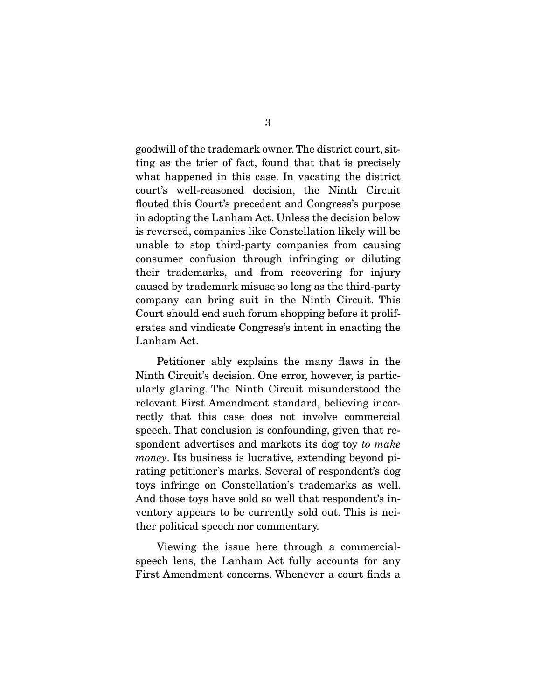goodwill of the trademark owner. The district court, sitting as the trier of fact, found that that is precisely what happened in this case. In vacating the district court's well-reasoned decision, the Ninth Circuit fouted this Court's precedent and Congress's purpose in adopting the Lanham Act. Unless the decision below is reversed, companies like Constellation likely will be unable to stop third-party companies from causing consumer confusion through infringing or diluting their trademarks, and from recovering for injury caused by trademark misuse so long as the third-party company can bring suit in the Ninth Circuit. This Court should end such forum shopping before it proliferates and vindicate Congress's intent in enacting the Lanham Act.

 Petitioner ably explains the many faws in the Ninth Circuit's decision. One error, however, is particularly glaring. The Ninth Circuit misunderstood the relevant First Amendment standard, believing incorrectly that this case does not involve commercial speech. That conclusion is confounding, given that respondent advertises and markets its dog toy to make money. Its business is lucrative, extending beyond pirating petitioner's marks. Several of respondent's dog toys infringe on Constellation's trademarks as well. And those toys have sold so well that respondent's inventory appears to be currently sold out. This is neither political speech nor commentary.

 Viewing the issue here through a commercialspeech lens, the Lanham Act fully accounts for any First Amendment concerns. Whenever a court fnds a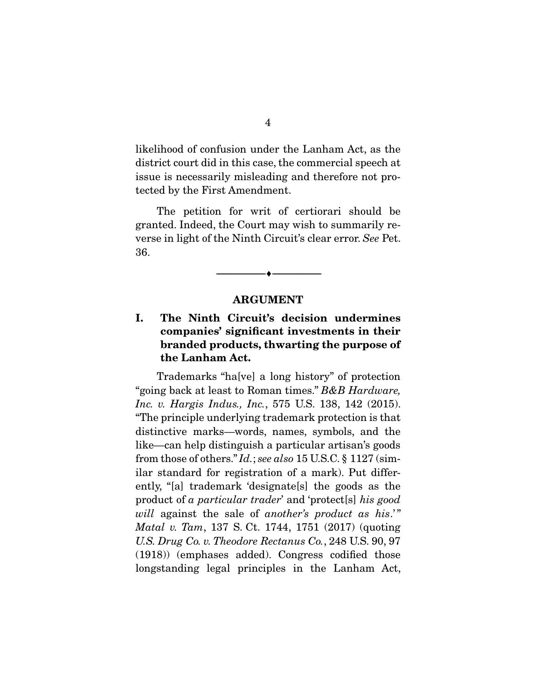likelihood of confusion under the Lanham Act, as the district court did in this case, the commercial speech at issue is necessarily misleading and therefore not protected by the First Amendment.

 The petition for writ of certiorari should be granted. Indeed, the Court may wish to summarily reverse in light of the Ninth Circuit's clear error. See Pet. 36.

#### **ARGUMENT**

 $\overbrace{\hspace{2.5cm}}^{\bullet}$   $\overbrace{\hspace{2.5cm}}^{\bullet}$ 

## **I. The Ninth Circuit's decision undermines companies' signifcant investments in their branded products, thwarting the purpose of the Lanham Act.**

 Trademarks "ha[ve] a long history" of protection "going back at least to Roman times." B&B Hardware, Inc. v. Hargis Indus., Inc., 575 U.S. 138, 142 (2015). "The principle underlying trademark protection is that distinctive marks—words, names, symbols, and the like—can help distinguish a particular artisan's goods from those of others." Id.; see also 15 U.S.C. § 1127 (similar standard for registration of a mark). Put differently, "[a] trademark 'designate[s] the goods as the product of a particular trader' and 'protect[s] his good will against the sale of another's product as his.'" Matal v. Tam, 137 S. Ct. 1744, 1751 (2017) (quoting U.S. Drug Co. v. Theodore Rectanus Co., 248 U.S. 90, 97 (1918)) (emphases added). Congress codifed those longstanding legal principles in the Lanham Act,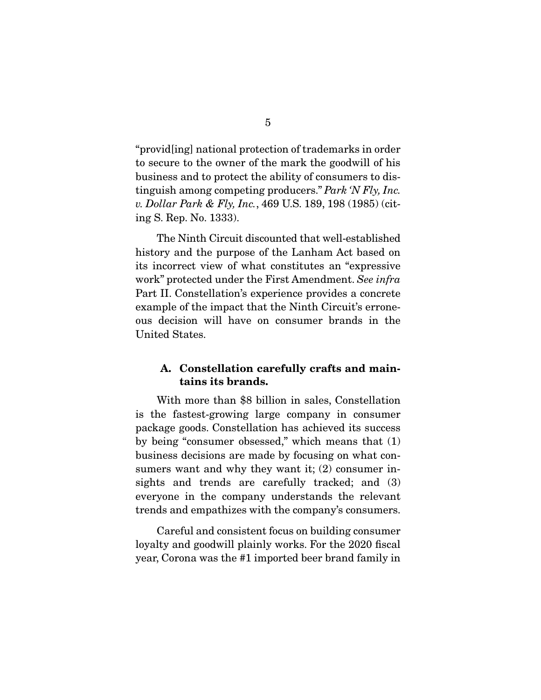"provid[ing] national protection of trademarks in order to secure to the owner of the mark the goodwill of his business and to protect the ability of consumers to distinguish among competing producers." Park 'N Fly, Inc. v. Dollar Park & Fly, Inc., 469 U.S. 189, 198 (1985) (citing S. Rep. No. 1333).

 The Ninth Circuit discounted that well-established history and the purpose of the Lanham Act based on its incorrect view of what constitutes an "expressive work" protected under the First Amendment. See infra Part II. Constellation's experience provides a concrete example of the impact that the Ninth Circuit's erroneous decision will have on consumer brands in the United States.

## **A. Constellation carefully crafts and maintains its brands.**

 With more than \$8 billion in sales, Constellation is the fastest-growing large company in consumer package goods. Constellation has achieved its success by being "consumer obsessed," which means that (1) business decisions are made by focusing on what consumers want and why they want it; (2) consumer insights and trends are carefully tracked; and (3) everyone in the company understands the relevant trends and empathizes with the company's consumers.

 Careful and consistent focus on building consumer loyalty and goodwill plainly works. For the 2020 fiscal year, Corona was the #1 imported beer brand family in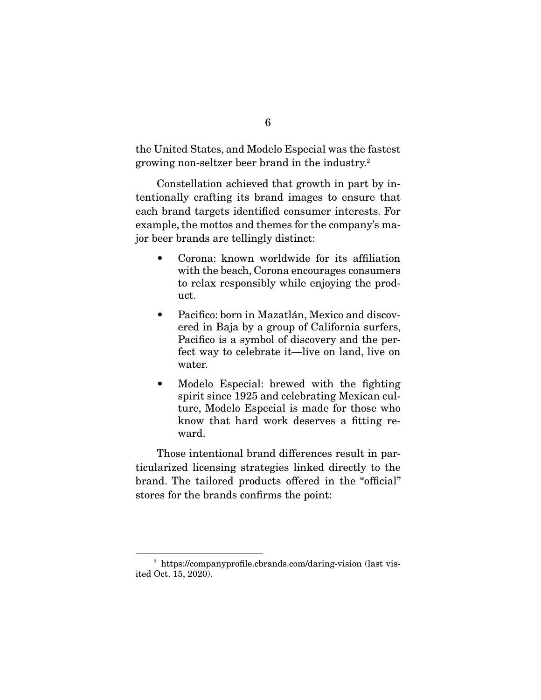the United States, and Modelo Especial was the fastest growing non-seltzer beer brand in the industry.2

 Constellation achieved that growth in part by intentionally crafting its brand images to ensure that each brand targets identifed consumer interests. For example, the mottos and themes for the company's major beer brands are tellingly distinct:

- Corona: known worldwide for its affliation with the beach, Corona encourages consumers to relax responsibly while enjoying the product.
- Pacifco: born in Mazatlán, Mexico and discovered in Baja by a group of California surfers, Pacifco is a symbol of discovery and the perfect way to celebrate it—live on land, live on water.
- Modelo Especial: brewed with the fighting spirit since 1925 and celebrating Mexican culture, Modelo Especial is made for those who know that hard work deserves a ftting reward.

 Those intentional brand differences result in particularized licensing strategies linked directly to the brand. The tailored products offered in the "official" stores for the brands confrms the point:

<sup>2</sup> [https://companyprofle.cbrands.com/daring-vision \(la](https://companyprofile.cbrands.com/daring-vision)st visited Oct. 15, 2020).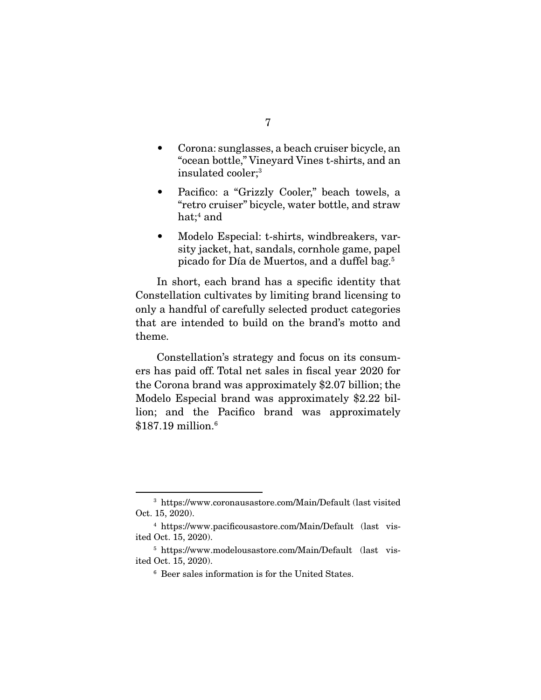- Corona: sunglasses, a beach cruiser bicycle, an "ocean bottle," Vineyard Vines t-shirts, and an insulated cooler;3
- Pacifco: a "Grizzly Cooler," beach towels, a "retro cruiser" bicycle, water bottle, and straw hat; $\rm ^4$  and
- Modelo Especial: t-shirts, windbreakers, varsity jacket, hat, sandals, cornhole game, papel picado for Día de Muertos, and a duffel bag.5

 In short, each brand has a specifc identity that Constellation cultivates by limiting brand licensing to only a handful of carefully selected product categories that are intended to build on the brand's motto and theme.

 Constellation's strategy and focus on its consumers has paid off. Total net sales in fscal year 2020 for the Corona brand was approximately \$2.07 billion; the Modelo Especial brand was approximately \$2.22 billion; and the Pacifco brand was approximately \$187.19 million.<sup>6</sup>

<sup>3</sup> [https://www.coronausastore.com/Main/Default \(la](https://www.coronausastore.com/Main/Default)st visited Oct. 15, 2020).

<sup>4</sup> [https://www.pacifcousastore.com/Main/Default \(](https://www.pacificousastore.com/Main/Default)last visited Oct. 15, 2020).

<sup>5</sup> [https://www.modelousastore.com/Main/Default \(](https://www.modelousastore.com/Main/Default)last visited Oct. 15, 2020).

<sup>6</sup> Beer sales information is for the United States.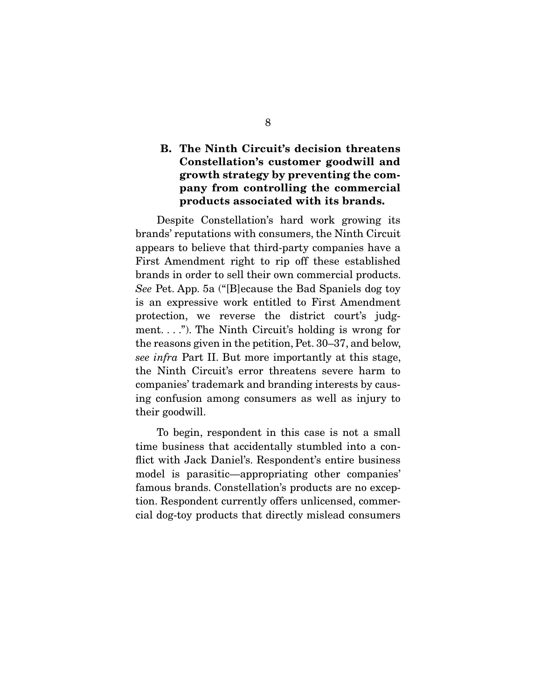## **B. The Ninth Circuit's decision threatens Constellation's customer goodwill and growth strategy by preventing the company from controlling the commercial products associated with its brands.**

 Despite Constellation's hard work growing its brands' reputations with consumers, the Ninth Circuit appears to believe that third-party companies have a First Amendment right to rip off these established brands in order to sell their own commercial products. See Pet. App. 5a ("[B]ecause the Bad Spaniels dog toy is an expressive work entitled to First Amendment protection, we reverse the district court's judgment. . . ."). The Ninth Circuit's holding is wrong for the reasons given in the petition, Pet. 30–37, and below, see infra Part II. But more importantly at this stage, the Ninth Circuit's error threatens severe harm to companies' trademark and branding interests by causing confusion among consumers as well as injury to their goodwill.

 To begin, respondent in this case is not a small time business that accidentally stumbled into a confict with Jack Daniel's. Respondent's entire business model is parasitic—appropriating other companies' famous brands. Constellation's products are no exception. Respondent currently offers unlicensed, commercial dog-toy products that directly mislead consumers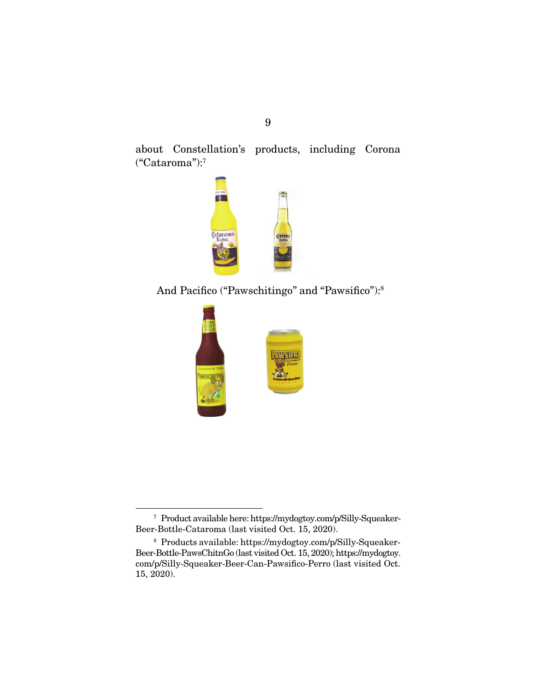9

about Constellation's products, including Corona ("Cataroma"):7



And Pacifico ("Pawschitingo" and "Pawsifico"):<sup>8</sup>



<sup>7</sup> Product available here: [https://mydogtoy.com/p/Silly-Squeaker-](https://mydogtoy.com/p/Silly-Squeaker-Beer-Bottle-Cataroma)[Beer-Bottle-Cataroma \(la](https://mydogtoy.com/p/Silly-Squeaker-Beer-Bottle-Cataroma)st visited Oct. 15, 2020).

 $^{\rm 8}$  Products available: [https://mydogtoy.com/p/Silly-Squeaker-](https://mydogtoy.com/p/Silly-Squeaker-Beer-Bottle-PawsChitnGo)[Beer-Bottle-PawsChitnGo \(la](https://mydogtoy.com/p/Silly-Squeaker-Beer-Bottle-PawsChitnGo)st visited Oct. 15, 2020); [https://mydogtoy.](https://mydogtoy.com/p/Silly-Squeaker-Beer-Can-Pawsifico-Perro)  [com/p/Silly-Squeaker-Beer-Can-Pawsifco-Perro](https://mydogtoy.com/p/Silly-Squeaker-Beer-Can-Pawsifico-Perro) (last visited Oct. 15, 2020).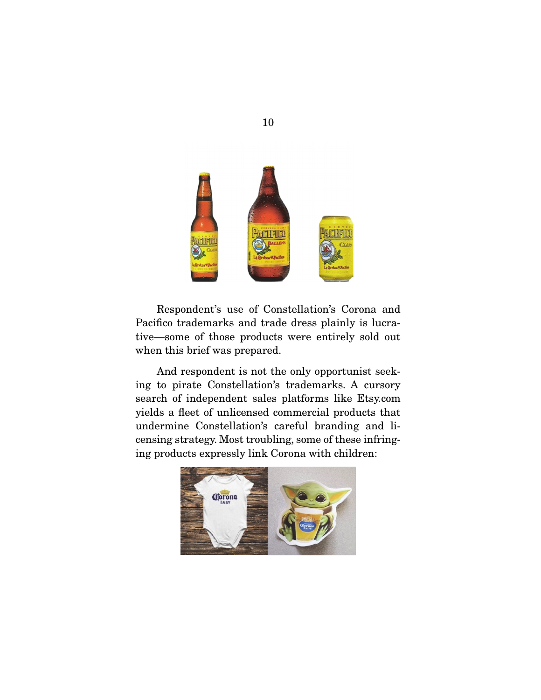

 Respondent's use of Constellation's Corona and Pacifco trademarks and trade dress plainly is lucrative—some of those products were entirely sold out when this brief was prepared.

 And respondent is not the only opportunist seeking to pirate Constellation's trademarks. A cursory search of independent sales platforms like Etsy.com yields a feet of unlicensed commercial products that undermine Constellation's careful branding and licensing strategy. Most troubling, some of these infringing products expressly link Corona with children:



10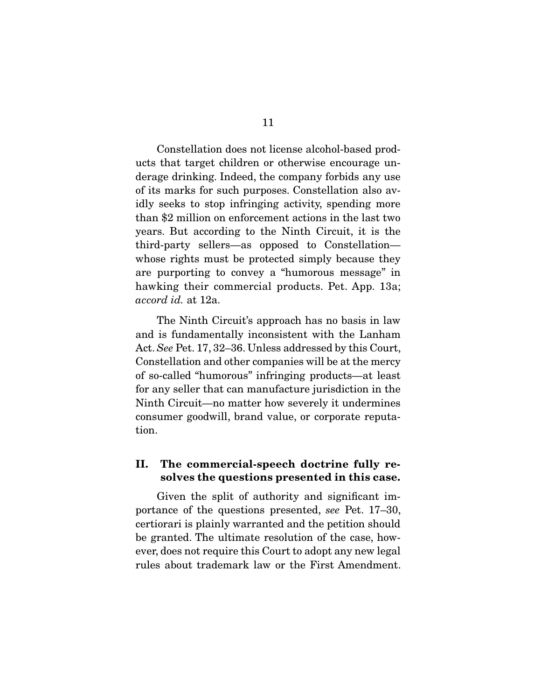Constellation does not license alcohol-based products that target children or otherwise encourage underage drinking. Indeed, the company forbids any use of its marks for such purposes. Constellation also avidly seeks to stop infringing activity, spending more than \$2 million on enforcement actions in the last two years. But according to the Ninth Circuit, it is the third-party sellers—as opposed to Constellation whose rights must be protected simply because they are purporting to convey a "humorous message" in hawking their commercial products. Pet. App. 13a; accord id. at 12a.

 The Ninth Circuit's approach has no basis in law and is fundamentally inconsistent with the Lanham Act. See Pet. 17, 32–36. Unless addressed by this Court, Constellation and other companies will be at the mercy of so-called "humorous" infringing products—at least for any seller that can manufacture jurisdiction in the Ninth Circuit—no matter how severely it undermines consumer goodwill, brand value, or corporate reputation.

## **II. The commercial-speech doctrine fully resolves the questions presented in this case.**

 Given the split of authority and signifcant importance of the questions presented, see Pet. 17–30, certiorari is plainly warranted and the petition should be granted. The ultimate resolution of the case, however, does not require this Court to adopt any new legal rules about trademark law or the First Amendment.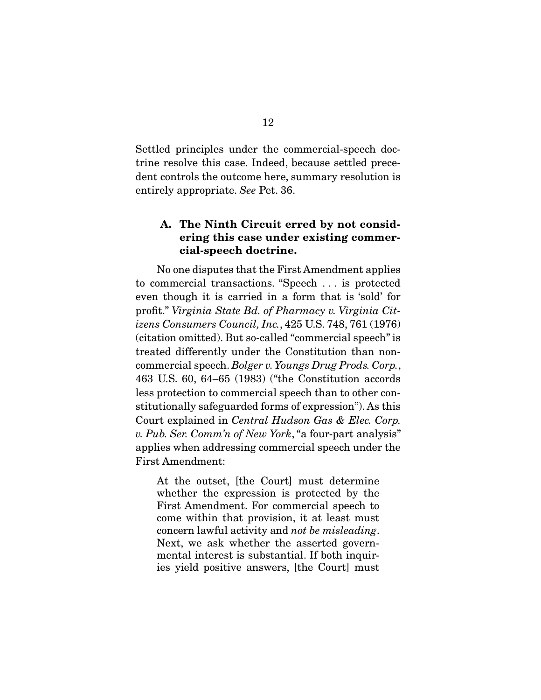Settled principles under the commercial-speech doctrine resolve this case. Indeed, because settled precedent controls the outcome here, summary resolution is entirely appropriate. See Pet. 36.

## **A. The Ninth Circuit erred by not considering this case under existing commercial-speech doctrine.**

 No one disputes that the First Amendment applies to commercial transactions. "Speech . . . is protected even though it is carried in a form that is 'sold' for proft." Virginia State Bd. of Pharmacy v. Virginia Citizens Consumers Council, Inc., 425 U.S. 748, 761 (1976) (citation omitted). But so-called "commercial speech" is treated differently under the Constitution than noncommercial speech. Bolger v. Youngs Drug Prods. Corp., 463 U.S. 60, 64–65 (1983) ("the Constitution accords less protection to commercial speech than to other constitutionally safeguarded forms of expression"). As this Court explained in Central Hudson Gas & Elec. Corp. v. Pub. Ser. Comm'n of New York, "a four-part analysis" applies when addressing commercial speech under the First Amendment:

At the outset, [the Court] must determine whether the expression is protected by the First Amendment. For commercial speech to come within that provision, it at least must concern lawful activity and not be misleading. Next, we ask whether the asserted governmental interest is substantial. If both inquiries yield positive answers, [the Court] must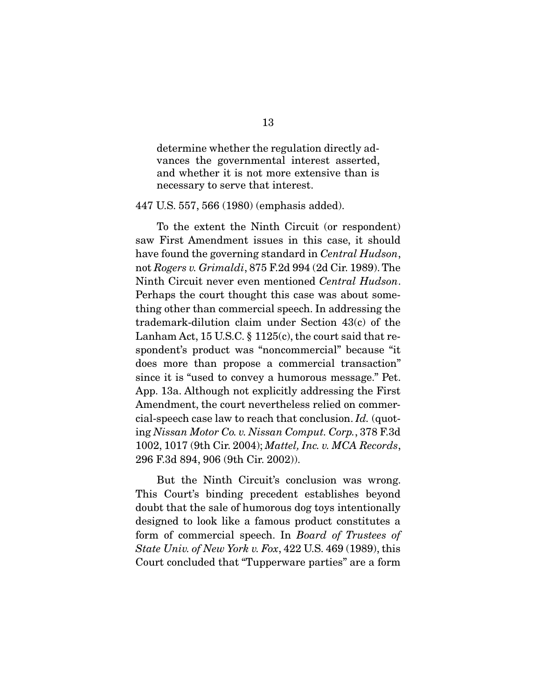determine whether the regulation directly advances the governmental interest asserted, and whether it is not more extensive than is necessary to serve that interest.

447 U.S. 557, 566 (1980) (emphasis added).

 To the extent the Ninth Circuit (or respondent) saw First Amendment issues in this case, it should have found the governing standard in *Central Hudson*, not Rogers v. Grimaldi, 875 F.2d 994 (2d Cir. 1989). The Ninth Circuit never even mentioned Central Hudson. Perhaps the court thought this case was about something other than commercial speech. In addressing the trademark-dilution claim under Section 43(c) of the Lanham Act, 15 U.S.C. § 1125(c), the court said that respondent's product was "noncommercial" because "it does more than propose a commercial transaction" since it is "used to convey a humorous message." Pet. App. 13a. Although not explicitly addressing the First Amendment, the court nevertheless relied on commercial-speech case law to reach that conclusion. Id. (quoting Nissan Motor Co. v. Nissan Comput. Corp., 378 F.3d 1002, 1017 (9th Cir. 2004); Mattel, Inc. v. MCA Records, 296 F.3d 894, 906 (9th Cir. 2002)).

 But the Ninth Circuit's conclusion was wrong. This Court's binding precedent establishes beyond doubt that the sale of humorous dog toys intentionally designed to look like a famous product constitutes a form of commercial speech. In Board of Trustees of State Univ. of New York v. Fox, 422 U.S. 469 (1989), this Court concluded that "Tupperware parties" are a form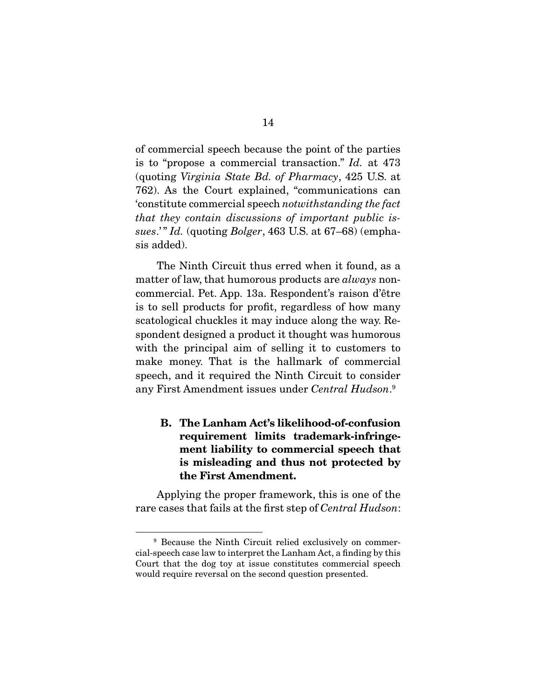of commercial speech because the point of the parties is to "propose a commercial transaction." Id. at 473 (quoting Virginia State Bd. of Pharmacy, 425 U.S. at 762). As the Court explained, "communications can 'constitute commercial speech notwithstanding the fact that they contain discussions of important public issues.'" Id. (quoting Bolger,  $463$  U.S. at  $67-68$ ) (emphasis added).

 The Ninth Circuit thus erred when it found, as a matter of law, that humorous products are *always* noncommercial. Pet. App. 13a. Respondent's raison d'être is to sell products for proft, regardless of how many scatological chuckles it may induce along the way. Respondent designed a product it thought was humorous with the principal aim of selling it to customers to make money. That is the hallmark of commercial speech, and it required the Ninth Circuit to consider any First Amendment issues under Central Hudson.<sup>9</sup>

## **B. The Lanham Act's likelihood-of-confusion requirement limits trademark-infringement liability to commercial speech that is misleading and thus not protected by the First Amendment.**

 Applying the proper framework, this is one of the rare cases that fails at the frst step of Central Hudson:

<sup>9</sup> Because the Ninth Circuit relied exclusively on commercial-speech case law to interpret the Lanham Act, a fnding by this Court that the dog toy at issue constitutes commercial speech would require reversal on the second question presented.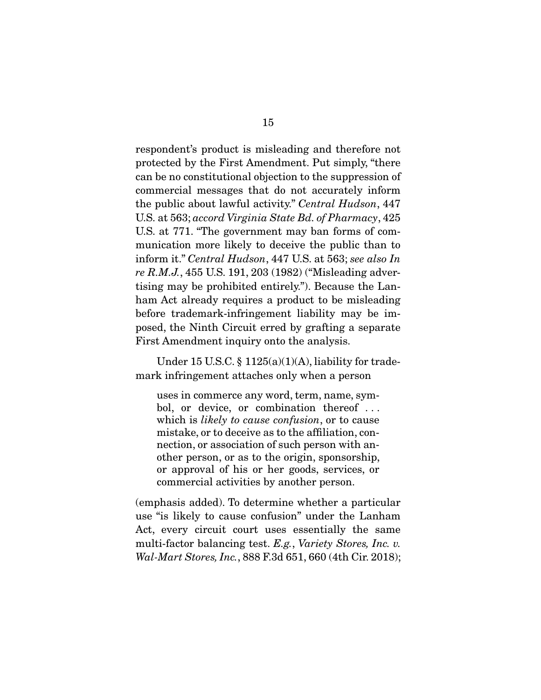respondent's product is misleading and therefore not protected by the First Amendment. Put simply, "there can be no constitutional objection to the suppression of commercial messages that do not accurately inform the public about lawful activity." Central Hudson, 447 U.S. at 563; accord Virginia State Bd. of Pharmacy, 425 U.S. at 771. "The government may ban forms of communication more likely to deceive the public than to inform it." Central Hudson, 447 U.S. at 563; see also In re R.M.J., 455 U.S. 191, 203 (1982) ("Misleading advertising may be prohibited entirely."). Because the Lanham Act already requires a product to be misleading before trademark-infringement liability may be imposed, the Ninth Circuit erred by grafting a separate First Amendment inquiry onto the analysis.

Under 15 U.S.C.  $\S$  1125(a)(1)(A), liability for trademark infringement attaches only when a person

uses in commerce any word, term, name, symbol, or device, or combination thereof . . . which is *likely to cause confusion*, or to cause mistake, or to deceive as to the affliation, connection, or association of such person with another person, or as to the origin, sponsorship, or approval of his or her goods, services, or commercial activities by another person.

(emphasis added). To determine whether a particular use "is likely to cause confusion" under the Lanham Act, every circuit court uses essentially the same multi-factor balancing test. E.g., Variety Stores, Inc. v. Wal-Mart Stores, Inc., 888 F.3d 651, 660 (4th Cir. 2018);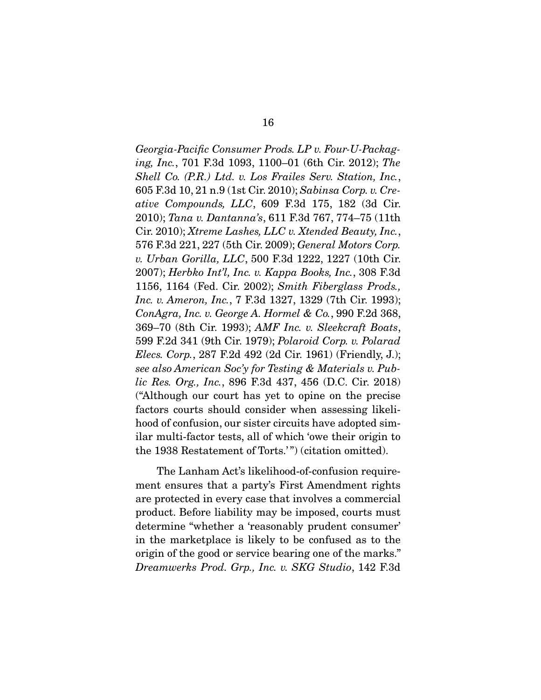Georgia-Pacifc Consumer Prods. LP v. Four-U-Packaging, Inc., 701 F.3d 1093, 1100–01 (6th Cir. 2012); The Shell Co. (P.R.) Ltd. v. Los Frailes Serv. Station, Inc., 605 F.3d 10, 21 n.9 (1st Cir. 2010); Sabinsa Corp. v. Creative Compounds, LLC, 609 F.3d 175, 182 (3d Cir. 2010); Tana v. Dantanna's, 611 F.3d 767, 774–75 (11th Cir. 2010); Xtreme Lashes, LLC v. Xtended Beauty, Inc., 576 F.3d 221, 227 (5th Cir. 2009); General Motors Corp. v. Urban Gorilla, LLC, 500 F.3d 1222, 1227 (10th Cir. 2007); Herbko Int'l, Inc. v. Kappa Books, Inc., 308 F.3d 1156, 1164 (Fed. Cir. 2002); Smith Fiberglass Prods., Inc. v. Ameron, Inc., 7 F.3d 1327, 1329 (7th Cir. 1993); ConAgra, Inc. v. George A. Hormel & Co., 990 F.2d 368, 369–70 (8th Cir. 1993); AMF Inc. v. Sleekcraft Boats, 599 F.2d 341 (9th Cir. 1979); Polaroid Corp. v. Polarad Elecs. Corp., 287 F.2d 492 (2d Cir. 1961) (Friendly, J.); see also American Soc'y for Testing & Materials v. Public Res. Org., Inc., 896 F.3d 437, 456 (D.C. Cir. 2018) ("Although our court has yet to opine on the precise factors courts should consider when assessing likelihood of confusion, our sister circuits have adopted similar multi-factor tests, all of which 'owe their origin to the 1938 Restatement of Torts.' ") (citation omitted).

 The Lanham Act's likelihood-of-confusion requirement ensures that a party's First Amendment rights are protected in every case that involves a commercial product. Before liability may be imposed, courts must determine "whether a 'reasonably prudent consumer' in the marketplace is likely to be confused as to the origin of the good or service bearing one of the marks." Dreamwerks Prod. Grp., Inc. v. SKG Studio, 142 F.3d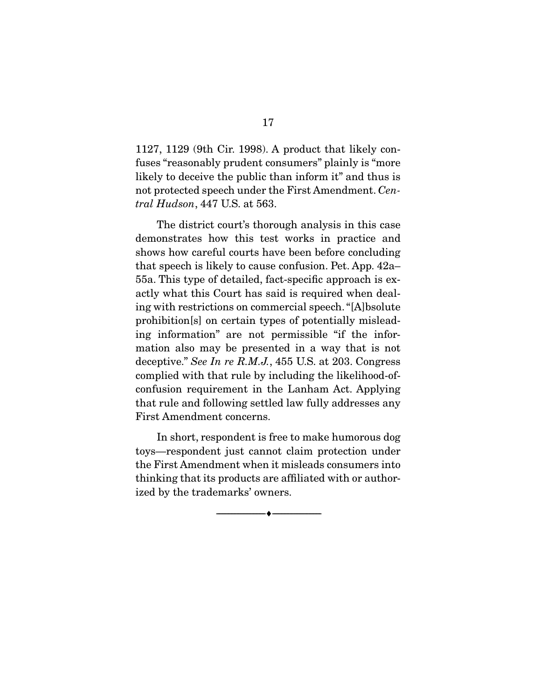1127, 1129 (9th Cir. 1998). A product that likely confuses "reasonably prudent consumers" plainly is "more likely to deceive the public than inform it" and thus is not protected speech under the First Amendment. Central Hudson, 447 U.S. at 563.

 The district court's thorough analysis in this case demonstrates how this test works in practice and shows how careful courts have been before concluding that speech is likely to cause confusion. Pet. App. 42a– 55a. This type of detailed, fact-specifc approach is exactly what this Court has said is required when dealing with restrictions on commercial speech. "[A]bsolute prohibition[s] on certain types of potentially misleading information" are not permissible "if the information also may be presented in a way that is not deceptive." See In re R.M.J., 455 U.S. at 203. Congress complied with that rule by including the likelihood-ofconfusion requirement in the Lanham Act. Applying that rule and following settled law fully addresses any First Amendment concerns.

 In short, respondent is free to make humorous dog toys—respondent just cannot claim protection under the First Amendment when it misleads consumers into thinking that its products are affliated with or authorized by the trademarks' owners.

 $\overbrace{\hspace{2.5cm}}^{\bullet}$   $\overbrace{\hspace{2.5cm}}^{\bullet}$